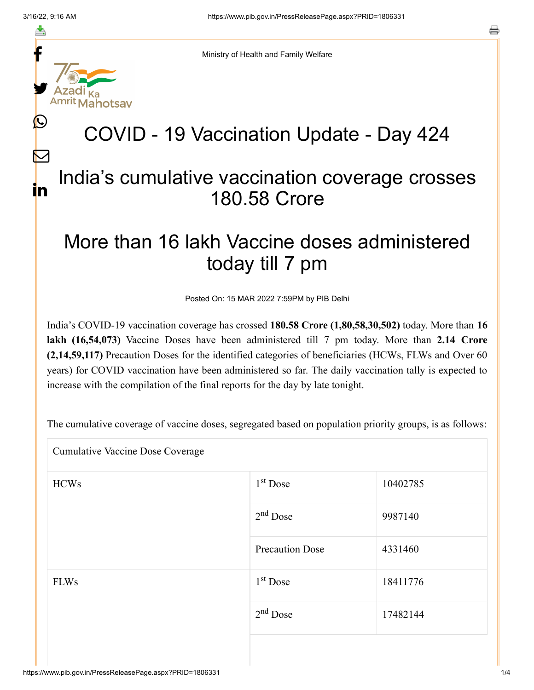f

≛

y.

L

 $\bm{\nabla}$ 

in

Ministry of Health and Family Welfare

# COVID - 19 Vaccination Update - Day 424

### India's cumulative vaccination coverage crosses 180.58 Crore

## More than 16 lakh Vaccine doses administered today till 7 pm

Posted On: 15 MAR 2022 7:59PM by PIB Delhi

India's COVID-19 vaccination coverage has crossed **180.58 Crore (1,80,58,30,502)** today. More than **16 lakh (16,54,073)** Vaccine Doses have been administered till 7 pm today. More than **2.14 Crore (2,14,59,117)** Precaution Doses for the identified categories of beneficiaries (HCWs, FLWs and Over 60 years) for COVID vaccination have been administered so far. The daily vaccination tally is expected to increase with the compilation of the final reports for the day by late tonight.

The cumulative coverage of vaccine doses, segregated based on population priority groups, is as follows:

Cumulative Vaccine Dose Coverage

| <b>HCWs</b> | $1st$ Dose             | 10402785 |
|-------------|------------------------|----------|
|             | $2nd$ Dose             | 9987140  |
|             | <b>Precaution Dose</b> | 4331460  |
| <b>FLWs</b> | 1 <sup>st</sup> Dose   | 18411776 |
|             | $2nd$ Dose             | 17482144 |
|             |                        |          |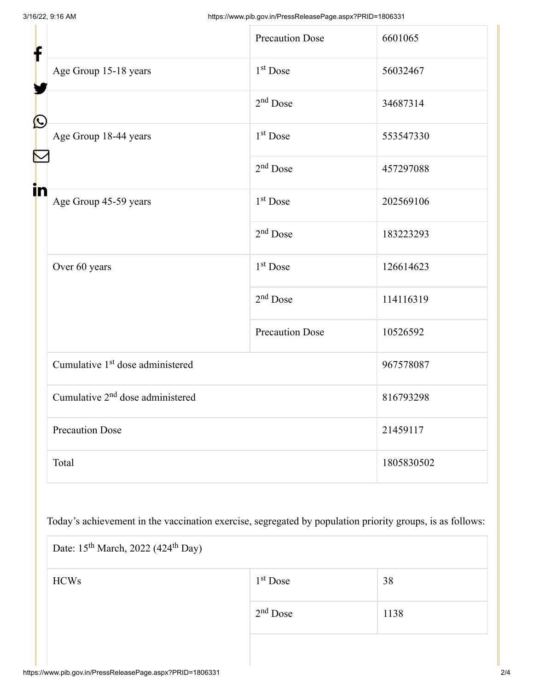| f            |                                              | <b>Precaution Dose</b> | 6601065    |  |
|--------------|----------------------------------------------|------------------------|------------|--|
|              | Age Group 15-18 years                        | 1 <sup>st</sup> Dose   | 56032467   |  |
|              |                                              | $2nd$ Dose             | 34687314   |  |
| $\bf \Omega$ | Age Group 18-44 years                        | 1 <sup>st</sup> Dose   | 553547330  |  |
|              |                                              | $2nd$ Dose             | 457297088  |  |
| in           | Age Group 45-59 years                        | 1 <sup>st</sup> Dose   | 202569106  |  |
|              |                                              | $2nd$ Dose             | 183223293  |  |
|              | Over 60 years                                | 1 <sup>st</sup> Dose   | 126614623  |  |
|              |                                              | $2nd$ Dose             | 114116319  |  |
|              |                                              | <b>Precaution Dose</b> | 10526592   |  |
|              | Cumulative 1 <sup>st</sup> dose administered |                        | 967578087  |  |
|              | Cumulative 2 <sup>nd</sup> dose administered |                        | 816793298  |  |
|              | <b>Precaution Dose</b>                       |                        | 21459117   |  |
|              | Total                                        |                        | 1805830502 |  |

Today's achievement in the vaccination exercise, segregated by population priority groups, is as follows:

| Date: 15 <sup>th</sup> March, 2022 (424 <sup>th</sup> Day) |            |      |  |  |
|------------------------------------------------------------|------------|------|--|--|
| <b>HCWs</b>                                                | $1st$ Dose | 38   |  |  |
|                                                            | $2nd$ Dose | 1138 |  |  |
|                                                            |            |      |  |  |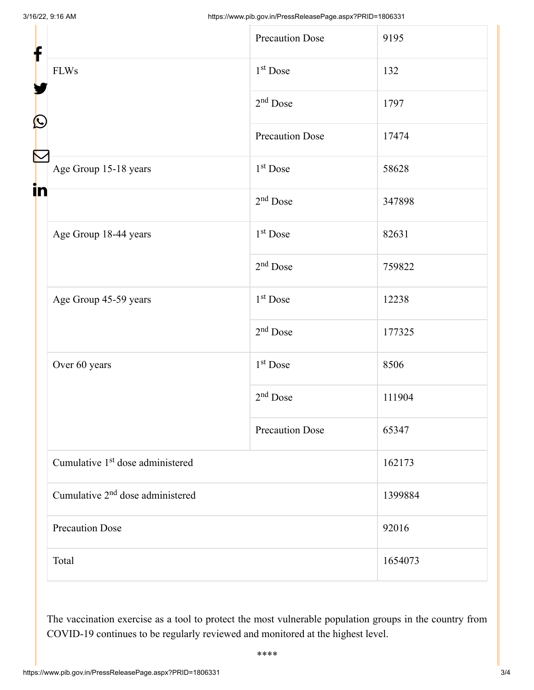| ┢<br>$\mathbf{\Omega}$ |                                              | Precaution Dose        | 9195    |
|------------------------|----------------------------------------------|------------------------|---------|
|                        | <b>FLWs</b>                                  | $1st$ Dose             | 132     |
|                        |                                              | $2nd$ Dose             | 1797    |
|                        |                                              | <b>Precaution Dose</b> | 17474   |
| in                     | Age Group 15-18 years                        | 1 <sup>st</sup> Dose   | 58628   |
|                        |                                              | $2nd$ Dose             | 347898  |
|                        | Age Group 18-44 years                        | 1 <sup>st</sup> Dose   | 82631   |
|                        |                                              | $2nd$ Dose             | 759822  |
|                        | Age Group 45-59 years                        | 1 <sup>st</sup> Dose   | 12238   |
|                        |                                              | $2nd$ Dose             | 177325  |
|                        | Over 60 years                                | $1st$ Dose             | 8506    |
|                        |                                              | $2nd$ Dose             | 111904  |
|                        |                                              | <b>Precaution Dose</b> | 65347   |
|                        | Cumulative 1 <sup>st</sup> dose administered |                        | 162173  |
|                        | Cumulative 2 <sup>nd</sup> dose administered |                        | 1399884 |
|                        | <b>Precaution Dose</b>                       |                        | 92016   |
|                        | Total                                        |                        | 1654073 |

The vaccination exercise as a tool to protect the most vulnerable population groups in the country from COVID-19 continues to be regularly reviewed and monitored at the highest level.